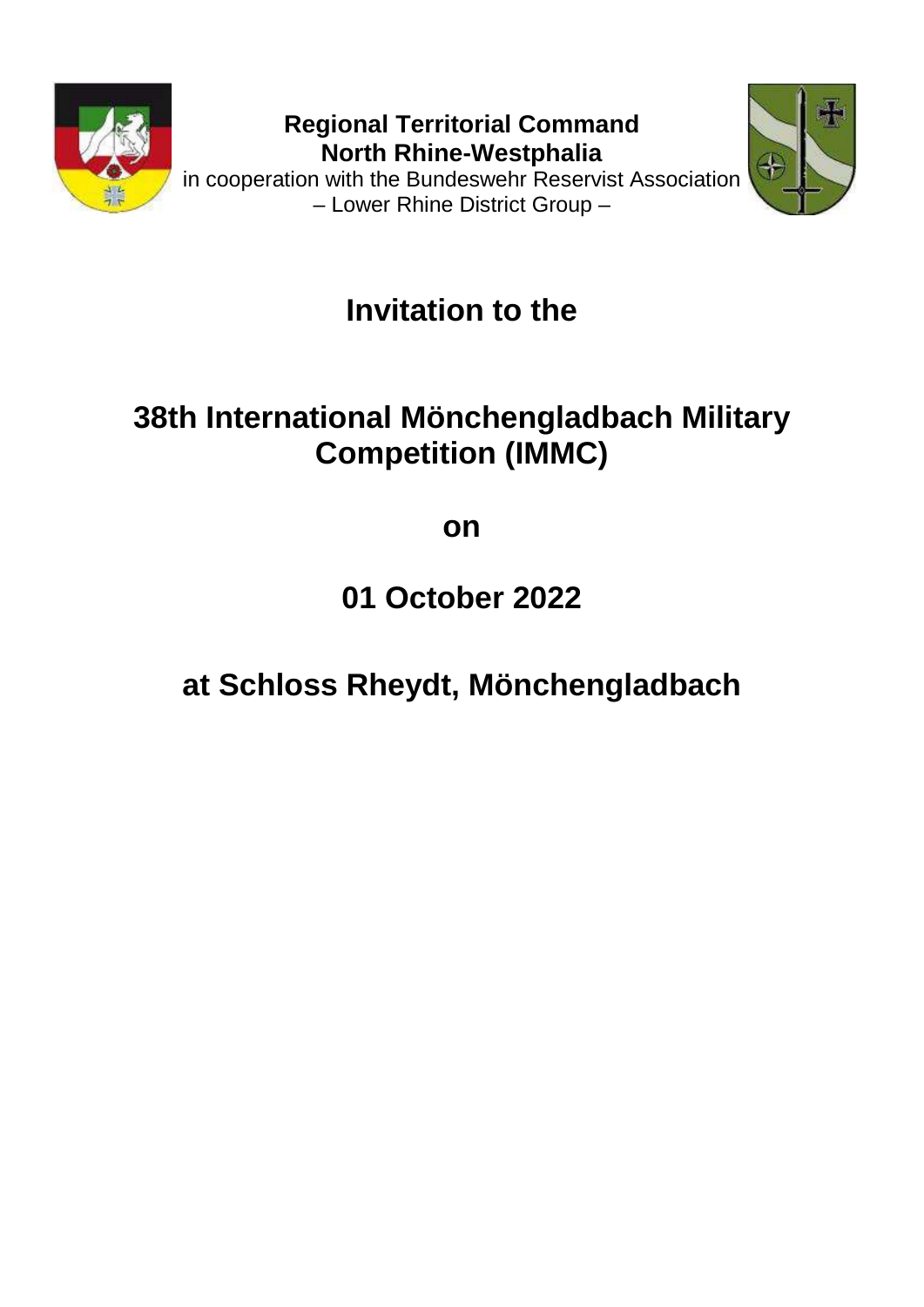

**Regional Territorial Command North Rhine-Westphalia** in cooperation with the Bundeswehr Reservist Association





**Invitation to the**

## **38th International Mönchengladbach Military Competition (IMMC)**

**on**

**01 October 2022**

# **at Schloss Rheydt, Mönchengladbach**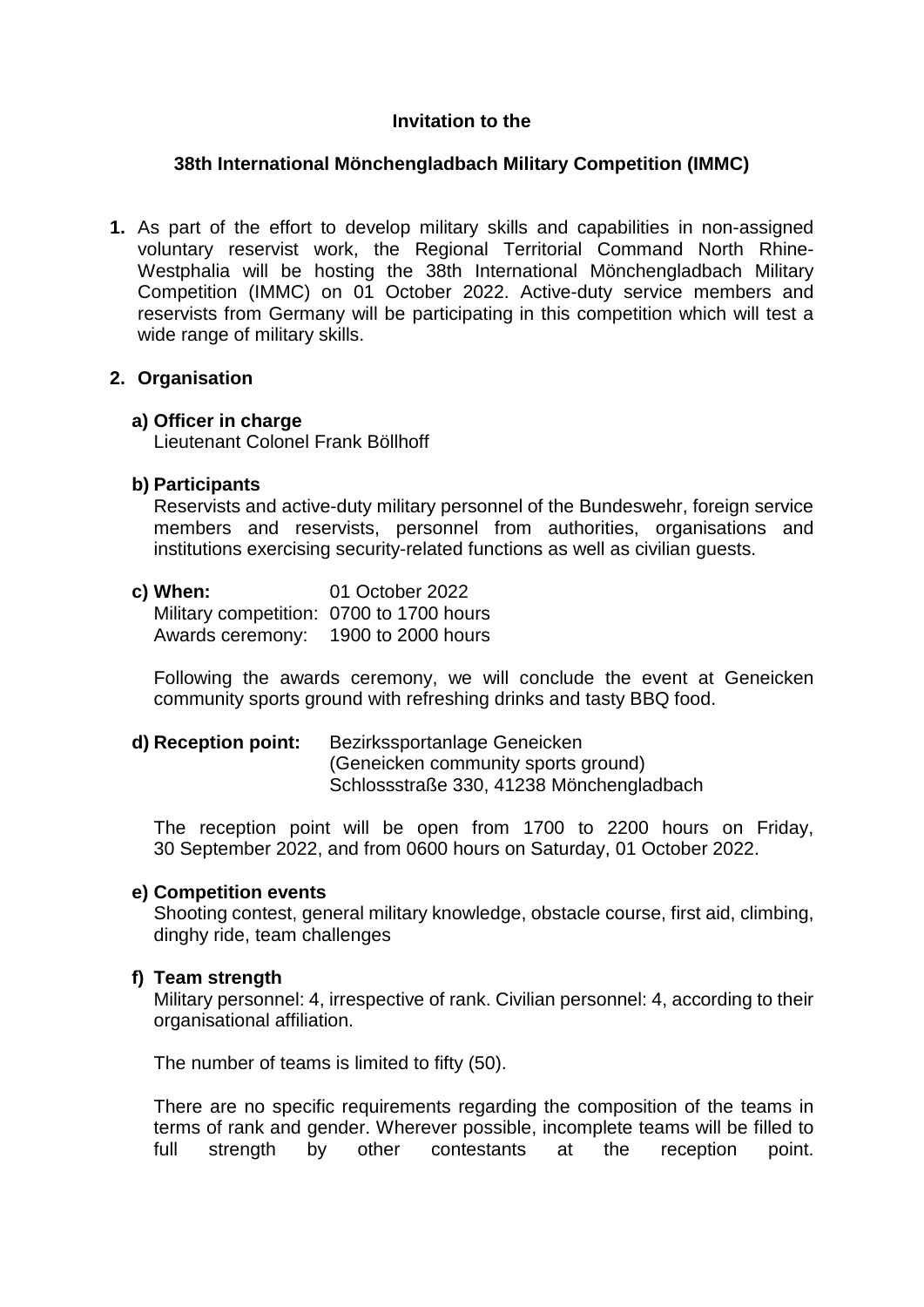#### **Invitation to the**

## **38th International Mönchengladbach Military Competition (IMMC)**

**1.** As part of the effort to develop military skills and capabilities in non-assigned voluntary reservist work, the Regional Territorial Command North Rhine-Westphalia will be hosting the 38th International Mönchengladbach Military Competition (IMMC) on 01 October 2022. Active-duty service members and reservists from Germany will be participating in this competition which will test a wide range of military skills.

#### **2. Organisation**

#### **a) Officer in charge**

Lieutenant Colonel Frank Böllhoff

## **b) Participants**

Reservists and active-duty military personnel of the Bundeswehr, foreign service members and reservists, personnel from authorities, organisations and institutions exercising security-related functions as well as civilian guests.

#### **c) When:** 01 October 2022 Military competition: 0700 to 1700 hours Awards ceremony: 1900 to 2000 hours

Following the awards ceremony, we will conclude the event at Geneicken community sports ground with refreshing drinks and tasty BBQ food.

## **d) Reception point:** Bezirkssportanlage Geneicken (Geneicken community sports ground) Schlossstraße 330, 41238 Mönchengladbach

The reception point will be open from 1700 to 2200 hours on Friday, 30 September 2022, and from 0600 hours on Saturday, 01 October 2022.

#### **e) Competition events**

Shooting contest, general military knowledge, obstacle course, first aid, climbing, dinghy ride, team challenges

#### **f) Team strength**

Military personnel: 4, irrespective of rank. Civilian personnel: 4, according to their organisational affiliation.

The number of teams is limited to fifty (50).

There are no specific requirements regarding the composition of the teams in terms of rank and gender. Wherever possible, incomplete teams will be filled to full strength by other contestants at the reception point.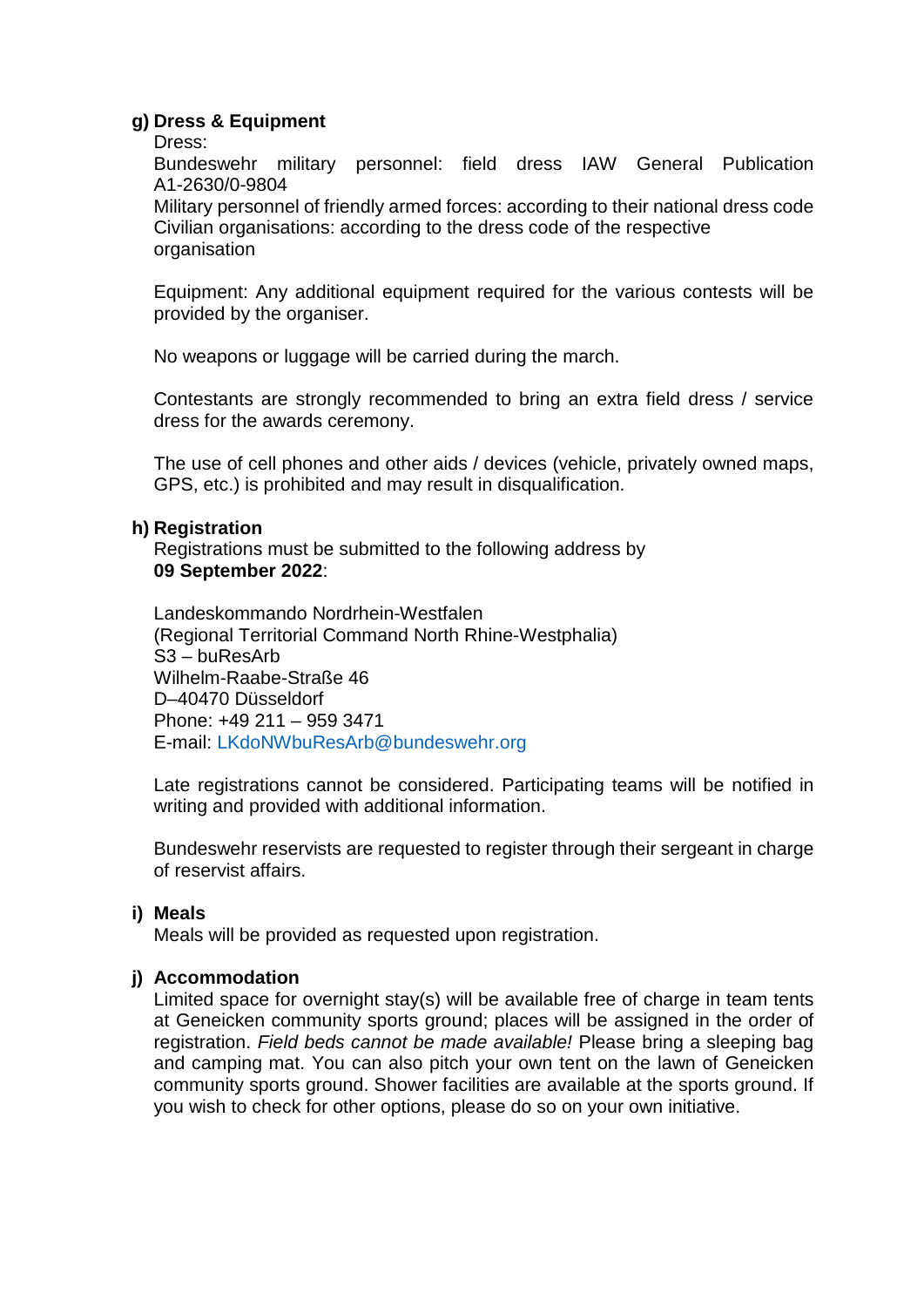#### **g) Dress & Equipment**

Dress:

Bundeswehr military personnel: field dress IAW General Publication A1-2630/0-9804

Military personnel of friendly armed forces: according to their national dress code Civilian organisations: according to the dress code of the respective organisation

Equipment: Any additional equipment required for the various contests will be provided by the organiser.

No weapons or luggage will be carried during the march.

Contestants are strongly recommended to bring an extra field dress / service dress for the awards ceremony.

The use of cell phones and other aids / devices (vehicle, privately owned maps, GPS, etc.) is prohibited and may result in disqualification.

#### **h) Registration**

Registrations must be submitted to the following address by **09 September 2022**:

Landeskommando Nordrhein-Westfalen (Regional Territorial Command North Rhine-Westphalia) S3 – buResArb Wilhelm-Raabe-Straße 46 D–40470 Düsseldorf Phone: +49 211 – 959 3471 E-mail: LKdoNWbuResArb@bundeswehr.org

Late registrations cannot be considered. Participating teams will be notified in writing and provided with additional information.

Bundeswehr reservists are requested to register through their sergeant in charge of reservist affairs.

#### **i) Meals**

Meals will be provided as requested upon registration.

#### **j) Accommodation**

Limited space for overnight stay(s) will be available free of charge in team tents at Geneicken community sports ground; places will be assigned in the order of registration. *Field beds cannot be made available!* Please bring a sleeping bag and camping mat. You can also pitch your own tent on the lawn of Geneicken community sports ground. Shower facilities are available at the sports ground. If you wish to check for other options, please do so on your own initiative.